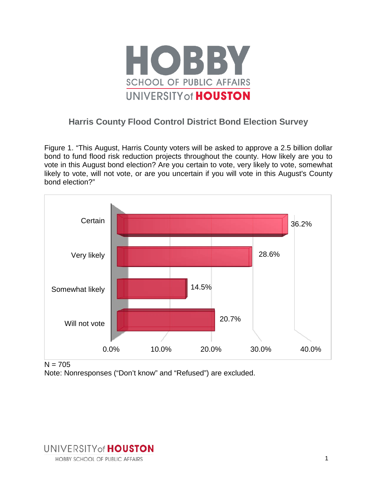

# **Harris County Flood Control District Bond Election Survey**

Figure 1. "This August, Harris County voters will be asked to approve a 2.5 billion dollar bond to fund flood risk reduction projects throughout the county. How likely are you to vote in this August bond election? Are you certain to vote, very likely to vote, somewhat likely to vote, will not vote, or are you uncertain if you will vote in this August's County bond election?"



 $N = 705$ 

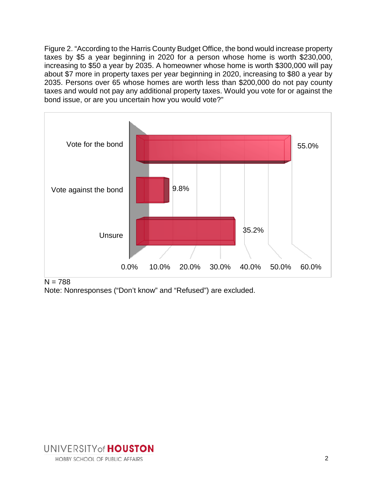Figure 2. "According to the Harris County Budget Office, the bond would increase property taxes by \$5 a year beginning in 2020 for a person whose home is worth \$230,000, increasing to \$50 a year by 2035. A homeowner whose home is worth \$300,000 will pay about \$7 more in property taxes per year beginning in 2020, increasing to \$80 a year by 2035. Persons over 65 whose homes are worth less than \$200,000 do not pay county taxes and would not pay any additional property taxes. Would you vote for or against the bond issue, or are you uncertain how you would vote?"



 $N = 788$ 

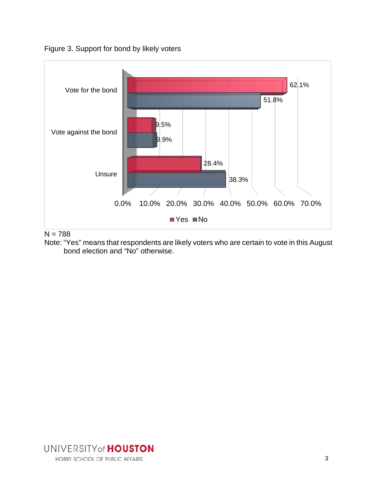Figure 3. Support for bond by likely voters



 $N = 788$ 

Note: "Yes" means that respondents are likely voters who are certain to vote in this August bond election and "No" otherwise.

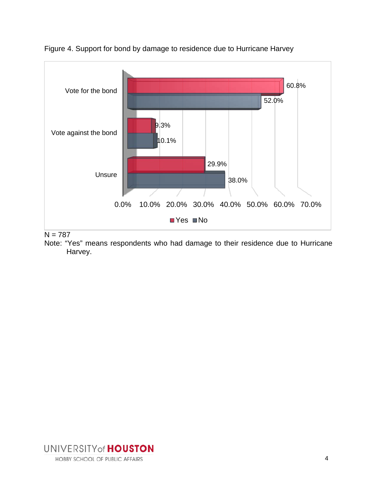

Figure 4. Support for bond by damage to residence due to Hurricane Harvey

 $N = 787$ 

Note: "Yes" means respondents who had damage to their residence due to Hurricane Harvey.

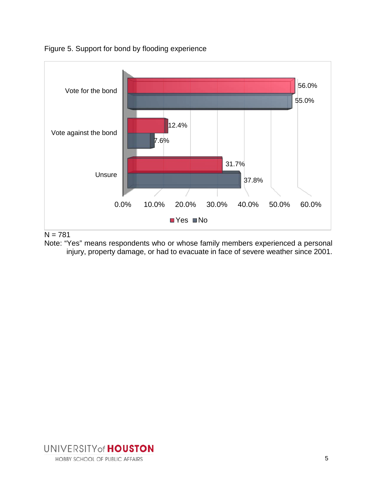

Figure 5. Support for bond by flooding experience

# $N = 781$

Note: "Yes" means respondents who or whose family members experienced a personal injury, property damage, or had to evacuate in face of severe weather since 2001.

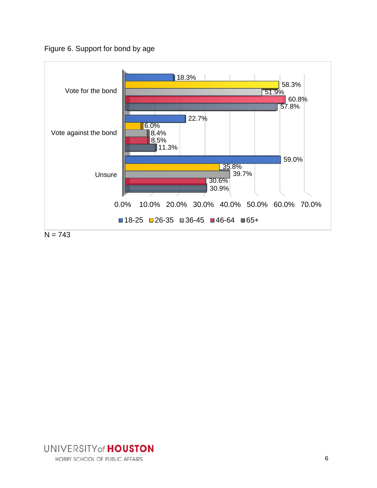Figure 6. Support for bond by age



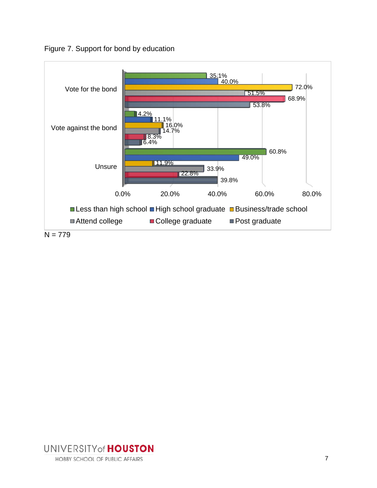Figure 7. Support for bond by education



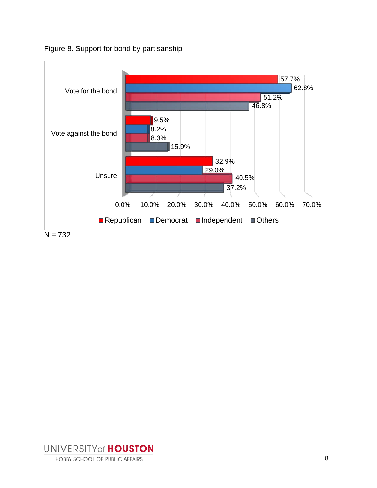Figure 8. Support for bond by partisanship



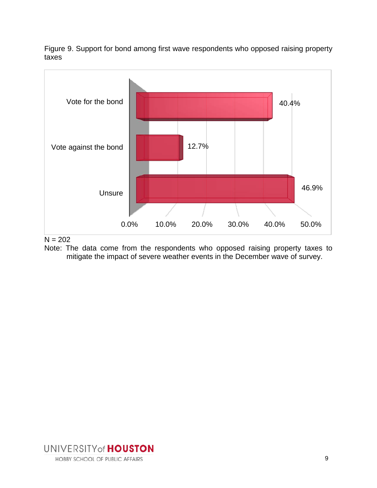Figure 9. Support for bond among first wave respondents who opposed raising property taxes





Note: The data come from the respondents who opposed raising property taxes to mitigate the impact of severe weather events in the December wave of survey.

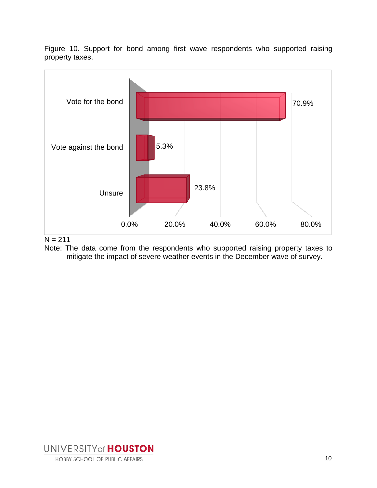Figure 10. Support for bond among first wave respondents who supported raising property taxes.





Note: The data come from the respondents who supported raising property taxes to mitigate the impact of severe weather events in the December wave of survey.

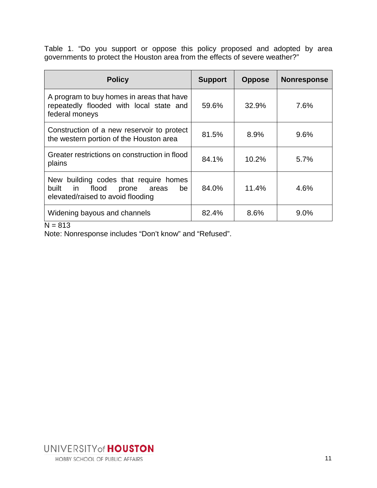Table 1. "Do you support or oppose this policy proposed and adopted by area governments to protect the Houston area from the effects of severe weather?"

| <b>Policy</b>                                                                                                                 | <b>Support</b> | <b>Oppose</b> | <b>Nonresponse</b> |  |
|-------------------------------------------------------------------------------------------------------------------------------|----------------|---------------|--------------------|--|
| A program to buy homes in areas that have<br>repeatedly flooded with local state and<br>federal moneys                        | 59.6%          | 32.9%         | 7.6%               |  |
| Construction of a new reservoir to protect<br>the western portion of the Houston area                                         | 81.5%          | 8.9%          | 9.6%               |  |
| Greater restrictions on construction in flood<br>plains                                                                       | 84.1%          | 10.2%         | 5.7%               |  |
| New building codes that require homes<br>built<br>flood<br>in in<br>prone<br>be<br>areas<br>elevated/raised to avoid flooding | 84.0%          | 11.4%         | 4.6%               |  |
| Widening bayous and channels<br>$\sim$ $\sim$                                                                                 | 82.4%          | 8.6%          | 9.0%               |  |

### $N = 813$

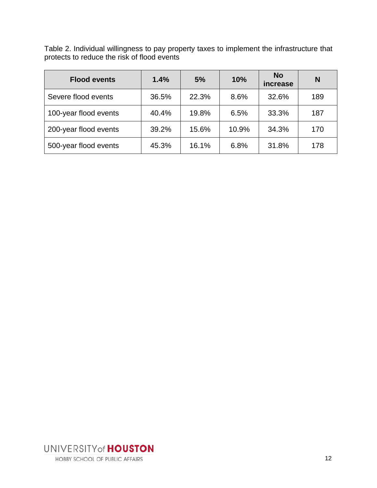Table 2. Individual willingness to pay property taxes to implement the infrastructure that protects to reduce the risk of flood events

| <b>Flood events</b>   | 1.4%  | 5%    | 10%   | <b>No</b><br><i>increase</i> | N   |
|-----------------------|-------|-------|-------|------------------------------|-----|
| Severe flood events   | 36.5% | 22.3% | 8.6%  | 32.6%                        | 189 |
| 100-year flood events | 40.4% | 19.8% | 6.5%  | 33.3%                        | 187 |
| 200-year flood events | 39.2% | 15.6% | 10.9% | 34.3%                        | 170 |
| 500-year flood events | 45.3% | 16.1% | 6.8%  | 31.8%                        | 178 |

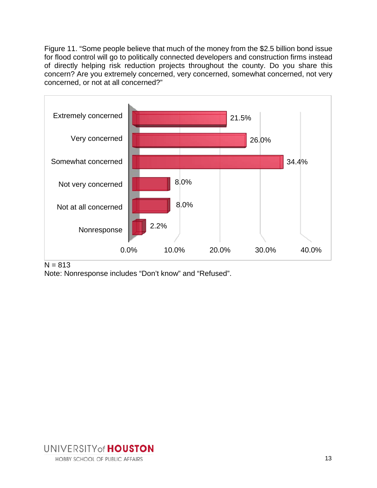Figure 11. "Some people believe that much of the money from the \$2.5 billion bond issue for flood control will go to politically connected developers and construction firms instead of directly helping risk reduction projects throughout the county. Do you share this concern? Are you extremely concerned, very concerned, somewhat concerned, not very concerned, or not at all concerned?"



 $N = 813$ 

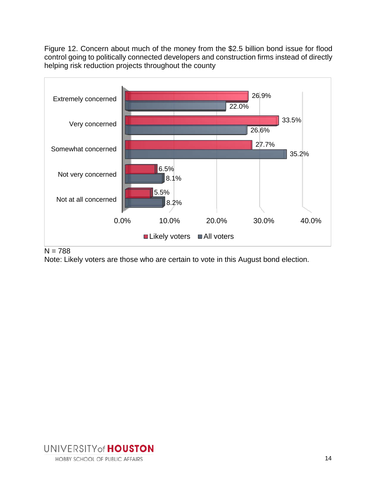Figure 12. Concern about much of the money from the \$2.5 billion bond issue for flood control going to politically connected developers and construction firms instead of directly helping risk reduction projects throughout the county



## $N = 788$

Note: Likely voters are those who are certain to vote in this August bond election.

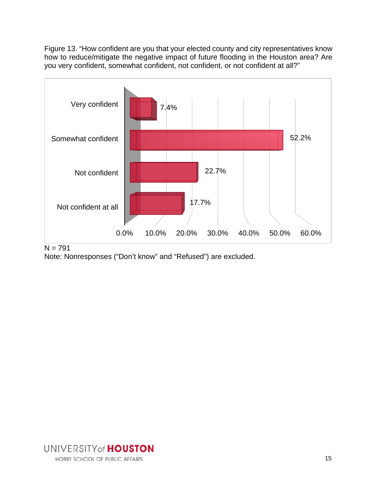Figure 13. "How confident are you that your elected county and city representatives know how to reduce/mitigate the negative impact of future flooding in the Houston area? Are you very confident, somewhat confident, not confident, or not confident at all?"



 $N = 791$ 

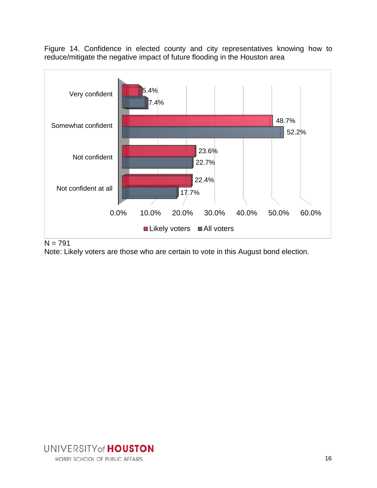Figure 14. Confidence in elected county and city representatives knowing how to reduce/mitigate the negative impact of future flooding in the Houston area



#### $N = 791$

Note: Likely voters are those who are certain to vote in this August bond election.

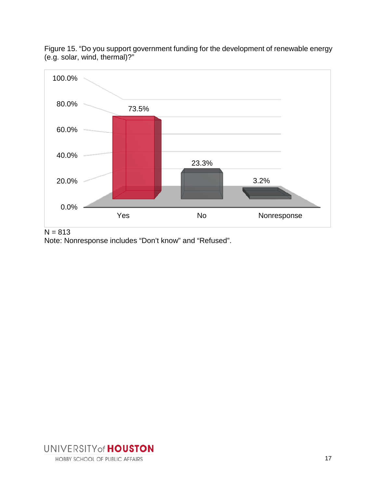

Figure 15. "Do you support government funding for the development of renewable energy (e.g. solar, wind, thermal)?"

 $N = 813$ 

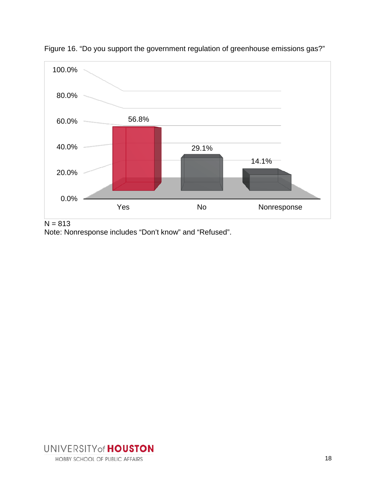

Figure 16. "Do you support the government regulation of greenhouse emissions gas?"

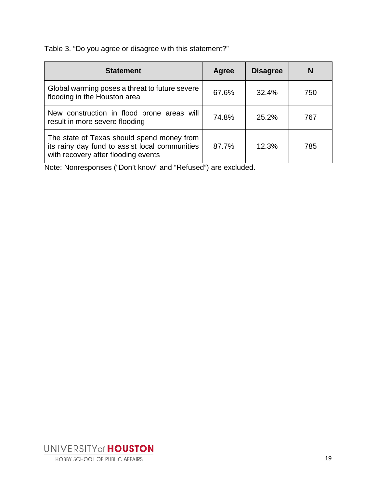Table 3. "Do you agree or disagree with this statement?"

| <b>Statement</b>                                                                                                                    | Agree | <b>Disagree</b> |     |
|-------------------------------------------------------------------------------------------------------------------------------------|-------|-----------------|-----|
| Global warming poses a threat to future severe<br>flooding in the Houston area                                                      | 67.6% | 32.4%           | 750 |
| New construction in flood prone areas will<br>result in more severe flooding                                                        | 74.8% | 25.2%           | 767 |
| The state of Texas should spend money from<br>its rainy day fund to assist local communities<br>with recovery after flooding events | 87.7% | 12.3%           | 785 |

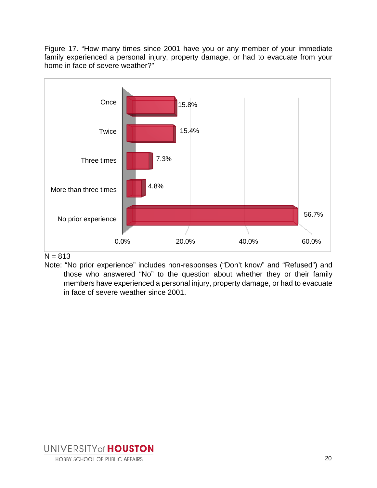Figure 17. "How many times since 2001 have you or any member of your immediate family experienced a personal injury, property damage, or had to evacuate from your home in face of severe weather?"



 $N = 813$ 

Note: "No prior experience" includes non-responses ("Don't know" and "Refused") and those who answered "No" to the question about whether they or their family members have experienced a personal injury, property damage, or had to evacuate in face of severe weather since 2001.

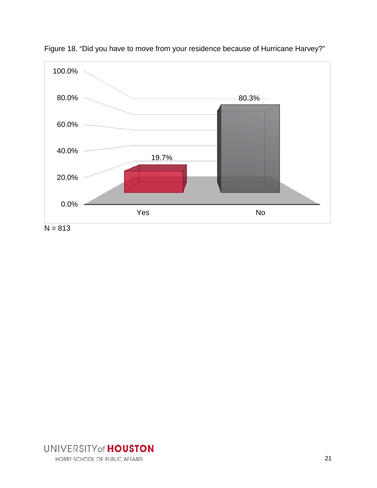

Figure 18. "Did you have to move from your residence because of Hurricane Harvey?"

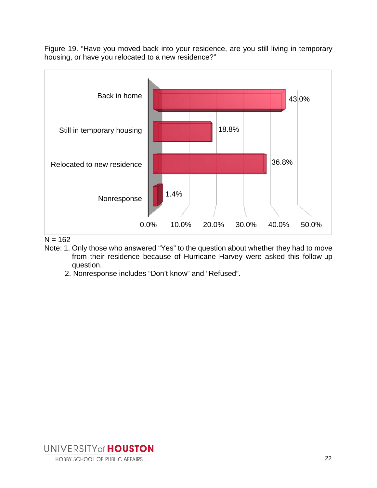Figure 19. "Have you moved back into your residence, are you still living in temporary housing, or have you relocated to a new residence?"



 $N = 162$ 

- Note: 1. Only those who answered "Yes" to the question about whether they had to move from their residence because of Hurricane Harvey were asked this follow-up question.
	- 2. Nonresponse includes "Don't know" and "Refused".

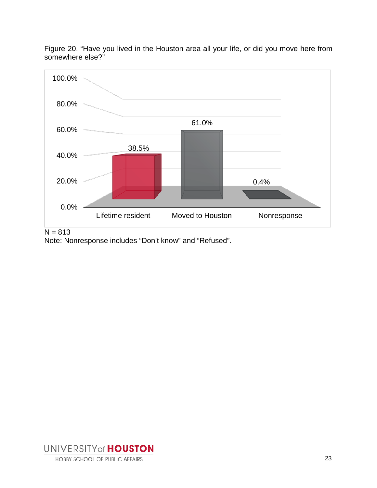

Figure 20. "Have you lived in the Houston area all your life, or did you move here from somewhere else?"

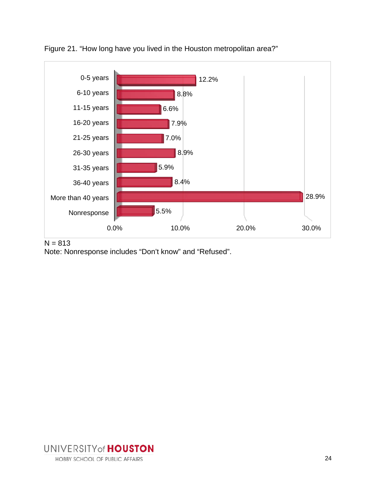

Figure 21. "How long have you lived in the Houston metropolitan area?"

 $N = 813$ 

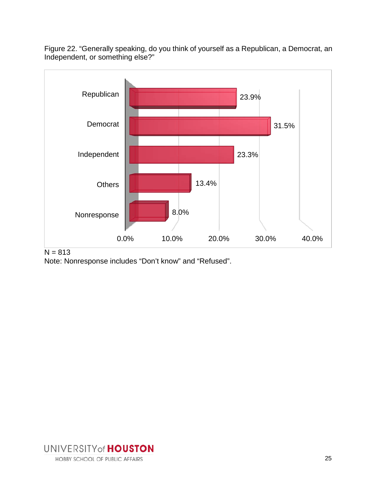Figure 22. "Generally speaking, do you think of yourself as a Republican, a Democrat, an Independent, or something else?"



 $N = 813$ 

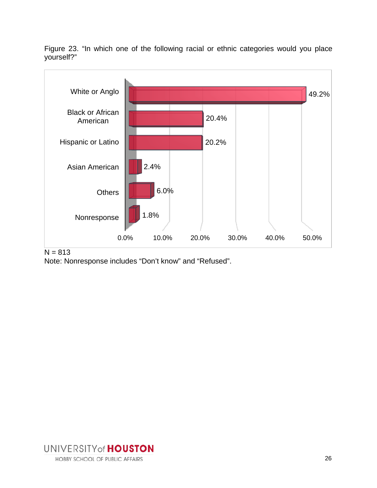Figure 23. "In which one of the following racial or ethnic categories would you place yourself?"



 $N = 813$ 

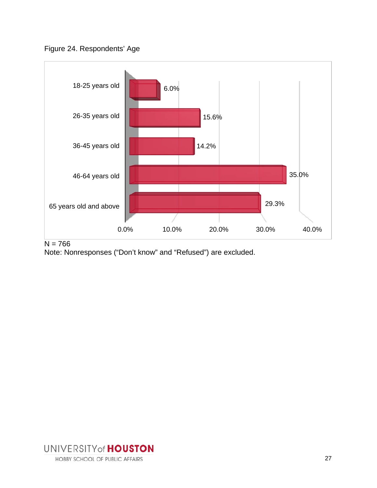



 $N = 766$